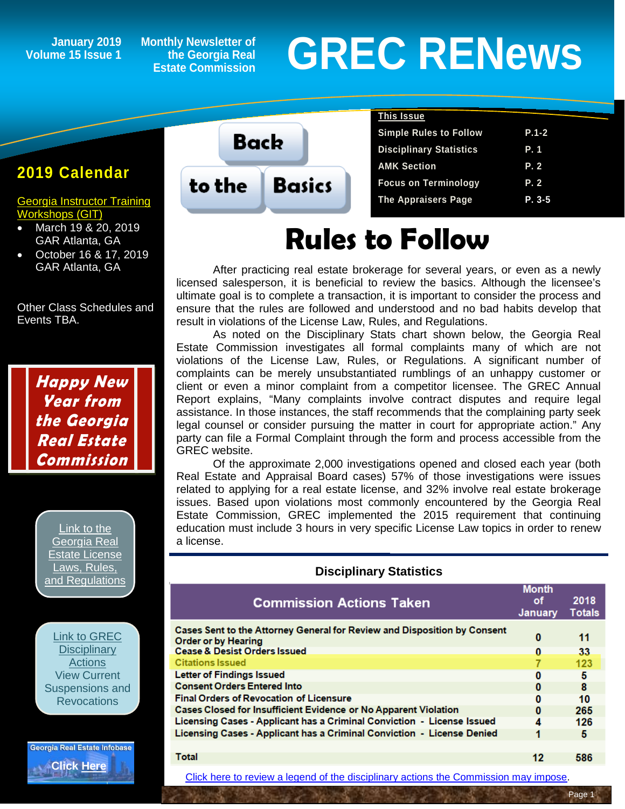### **Volume 15 Issue 1**

**Monthly Newsletter of the Georgia Real Estate Commission**

# January 2019 Monthly Newsletter of<br> **GREC RENEWS**<br>
Estate Commission

#### **2019 Calendar**

[Georgia Instructor Training](http://www.grec-git.com/Instructor-Training/Current-GIT-Class-Sched)  [Workshops \(GIT\)](http://www.grec-git.com/Instructor-Training/Current-GIT-Class-Sched)

- March 19 & 20, 2019 GAR Atlanta, GA
- October 16 & 17, 2019 GAR Atlanta, GA

Other Class Schedules and Events TBA.

> **Happy New Year from the Georgia Real Estate Commission**

> > [Link to the](http://www.grec.state.ga.us/about/relaw.html)  [Georgia Real](http://www.grec.state.ga.us/about/relaw.html)  [Estate License](http://www.grec.state.ga.us/about/relaw.html)  [Laws, Rules,](http://www.grec.state.ga.us/about/relaw.html)  [and Regulations](http://www.grec.state.ga.us/about/relaw.html)

[Link to GREC](http://www.grec.state.ga.us/about/resanctions.html)  **Disciplinary [Actions](http://www.grec.state.ga.us/about/resanctions.html)** View Current Suspensions an[d](http://www.grec.state.ga.us/about/resanctions.html)  **Revocations** 

Georgia Real Estate Infobase **[Click Here](https://www.grec.state.ga.us/infobase/infobase.html)**

**Back Basics** to the

| <u>This Issue</u>              |            |
|--------------------------------|------------|
| <b>Simple Rules to Follow</b>  | $P.1 - 2$  |
| <b>Disciplinary Statistics</b> | <b>P.1</b> |
| <b>AMK Section</b>             | P.2        |
| <b>Focus on Terminology</b>    | P.2        |
| <b>The Appraisers Page</b>     | $P. 3-5$   |

## **Rules to Follow**

After practicing real estate brokerage for several years, or even as a newly licensed salesperson, it is beneficial to review the basics. Although the licensee's ultimate goal is to complete a transaction, it is important to consider the process and ensure that the rules are followed and understood and no bad habits develop that result in violations of the License Law, Rules, and Regulations.

As noted on the Disciplinary Stats chart shown below, the Georgia Real Estate Commission investigates all formal complaints many of which are not violations of the License Law, Rules, or Regulations. A significant number of complaints can be merely unsubstantiated rumblings of an unhappy customer or client or even a minor complaint from a competitor licensee. The GREC Annual Report explains, "Many complaints involve contract disputes and require legal assistance. In those instances, the staff recommends that the complaining party seek legal counsel or consider pursuing the matter in court for appropriate action." Any party can file a Formal Complaint through the form and process accessible from the GREC website.

Of the approximate 2,000 investigations opened and closed each year (both Real Estate and Appraisal Board cases) 57% of those investigations were issues related to applying for a real estate license, and 32% involve real estate brokerage issues. Based upon violations most commonly encountered by the Georgia Real Estate Commission, GREC implemented the 2015 requirement that continuing education must include 3 hours in very specific License Law topics in order to renew a license.

| <b>Commission Actions Taken</b>                                                                        | <b>Month</b><br>οf<br>January | 2018<br><b>Totals</b> |
|--------------------------------------------------------------------------------------------------------|-------------------------------|-----------------------|
| Cases Sent to the Attorney General for Review and Disposition by Consent<br><b>Order or by Hearing</b> | 0                             | 11                    |
| <b>Cease &amp; Desist Orders Issued</b>                                                                | 0                             | 33                    |
| <b>Citations Issued</b>                                                                                |                               | 123                   |
| <b>Letter of Findings Issued</b>                                                                       | 0                             | 5                     |
| <b>Consent Orders Entered Into</b>                                                                     | 0                             | 8                     |
| <b>Final Orders of Revocation of Licensure</b>                                                         | 0                             | 10                    |
| <b>Cases Closed for Insufficient Evidence or No Apparent Violation</b>                                 | 0                             | 265                   |
| Licensing Cases - Applicant has a Criminal Conviction - License Issued                                 | Δ                             | 126                   |
| Licensing Cases - Applicant has a Criminal Conviction - License Denied                                 |                               | 5                     |
|                                                                                                        |                               |                       |
| Total                                                                                                  | 12                            | 586                   |

**Disciplinary Statistics**

[Click here to review a legend of the disciplinary actions the Commission may impose.](https://www.jmre.com/grec/GRECDisciplinaryTools.pdf)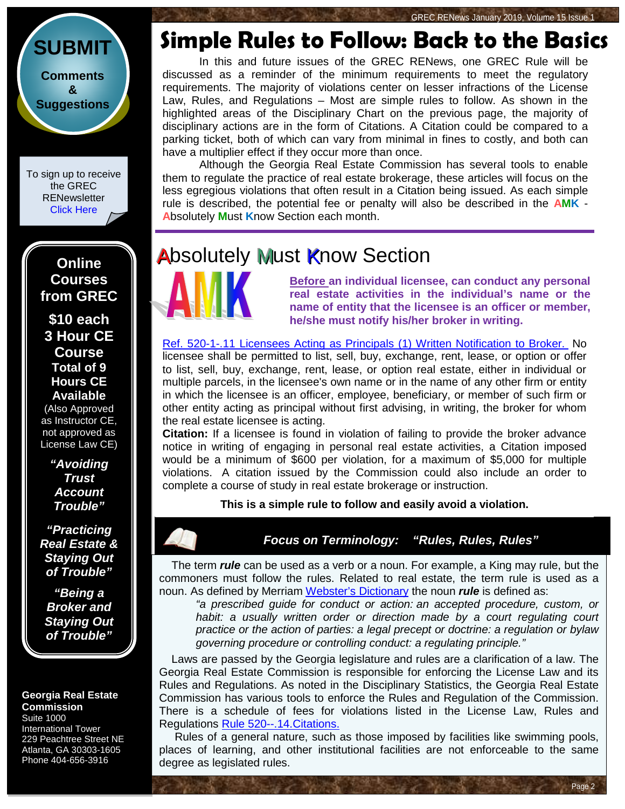GREC RENews January 2019, Volume 15 Issue 1



**[Suggestions](http://www.jmre.com/grecrenewscomments2014.htm)**

To sign up to receive the GREC **RENewsletter** [Click Here](https://www.grec.state.ga.us/about/subscribe.html)

> **Online Courses from GREC**

**[\\$10 each](http://www.jmre.com/grec) [3 Hour CE](http://www.jmre.com/grec)  [Course](http://www.jmre.com/grec) [Total of 9](http://www.jmre.com/grec)  [Hours CE](http://www.jmre.com/grec)  [Available](http://www.jmre.com/grec)**

[\(Also Approved](http://www.jmre.com/grec)  [as Instructor CE,](http://www.jmre.com/grec)  [not approved as](http://www.jmre.com/grec)  [License Law CE\)](http://www.jmre.com/grec)

> *["Avoiding](http://www.jmre.com/grec)  [Trust](http://www.jmre.com/grec)  [Account](http://www.jmre.com/grec)  [Trouble"](http://www.jmre.com/grec)*

*["Practicing](http://www.jmre.com/grec)  [Real Estate &](http://www.jmre.com/grec)  [Staying Out](http://www.jmre.com/grec)  [of Trouble"](http://www.jmre.com/grec)*

*["Being a](http://www.jmre.com/grec)  [Broker and](http://www.jmre.com/grec)  [Staying Out](http://www.jmre.com/grec)  [of Trouble"](http://www.jmre.com/grec)*

#### **Georgia Real Estate Commission** Suite 1000

International Tower 229 Peachtree Street NE Atlanta, GA 30303-1605 Phone 404-656-3916

### **Simple Rules to Follow: Back to the Basics**

In this and future issues of the GREC RENews, one GREC Rule will be discussed as a reminder of the minimum requirements to meet the regulatory requirements. The majority of violations center on lesser infractions of the License Law, Rules, and Regulations – Most are simple rules to follow. As shown in the highlighted areas of the Disciplinary Chart on the previous page, the majority of disciplinary actions are in the form of Citations. A Citation could be compared to a parking ticket, both of which can vary from minimal in fines to costly, and both can have a multiplier effect if they occur more than once.

Although the Georgia Real Estate Commission has several tools to enable them to regulate the practice of real estate brokerage, these articles will focus on the less egregious violations that often result in a Citation being issued. As each simple rule is described, the potential fee or penalty will also be described in the **AMK** - **A**bsolutely **M**ust **K**now Section each month.

### **Absolutely Must Know Section**



**Before an individual licensee, can conduct any personal real estate activities in the individual's name or the name of entity that the licensee is an officer or member, he/she must notify his/her broker in writing.** 

Ref. 520-1-.11 [Licensees Acting as Principals \(1\) Written Notification to Broker.](http://www.grec.state.ga.us/about/relaw.html) No licensee shall be permitted to list, sell, buy, exchange, rent, lease, or option or offer to list, sell, buy, exchange, rent, lease, or option real estate, either in individual or multiple parcels, in the licensee's own name or in the name of any other firm or entity in which the licensee is an officer, employee, beneficiary, or member of such firm or other entity acting as principal without first advising, in writing, the broker for whom the real estate licensee is acting.

**Citation:** If a licensee is found in violation of failing to provide the broker advance notice in writing of engaging in personal real estate activities, a Citation imposed would be a minimum of \$600 per violation, for a maximum of \$5,000 for multiple violations. A citation issued by the Commission could also include an order to complete a course of study in real estate brokerage or instruction.

**This is a simple rule to follow and easily avoid a violation.**

*Focus on Terminology: "Rules, Rules, Rules"*

 The term *rule* can be used as a verb or a noun. For example, a King may rule, but the commoners must follow the rules. Related to real estate, the term rule is used as a noun. As defined by Merriam [Webster's Dictionary](https://www.merriam-webster.com/dictionary/rules?utm_campaign=sd&utm_medium=serp&utm_source=jsonld) the noun *rule* is defined as:

*"a prescribed guide for conduct or action: an accepted procedure, custom, or*  habit: a usually written order or direction made by a court regulating court *practice or the action of parties: a legal precept or doctrine: a regulation or bylaw governing procedure or controlling conduct: a regulating principle."*

 Laws are passed by the Georgia legislature and rules are a clarification of a law. The Georgia Real Estate Commission is responsible for enforcing the License Law and its Rules and Regulations. As noted in the Disciplinary Statistics, the Georgia Real Estate Commission has various tools to enforce the Rules and Regulation of the Commission. There is a schedule of fees for violations listed in the License Law, Rules and Regulations [Rule 520--.14.Citations.](http://www.grec.state.ga.us/about/relaw.html)

 Rules of a general nature, such as those imposed by facilities like swimming pools, places of learning, and other institutional facilities are not enforceable to the same degree as legislated rules.

Page 2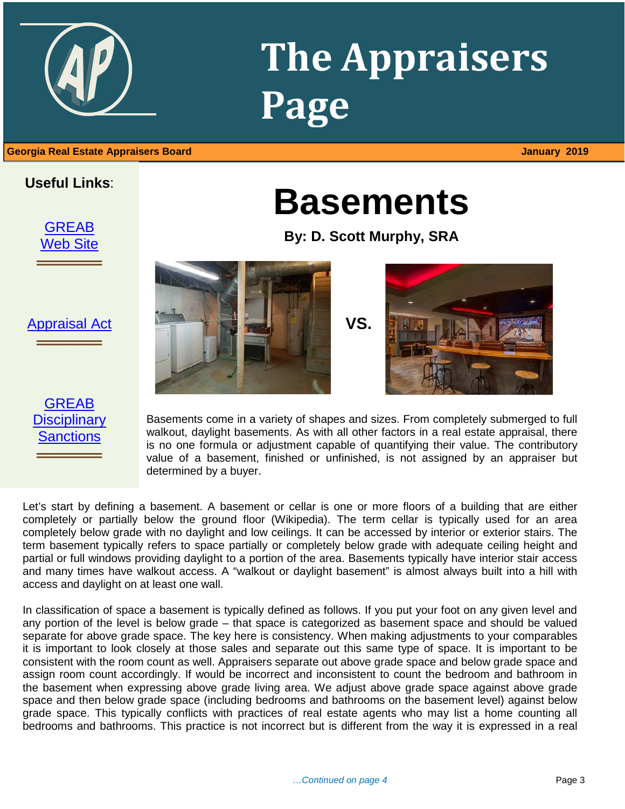# **The Appraisers Page**

**Basements**

**By: D. Scott Murphy, SRA**

#### **Useful Links**:



[Appraisal Act](http://www.grec.state.ga.us/about/appraisersact.html)

═════════════════<br>══════════════════

[GREAB](http://www.grec.state.ga.us/about/apprsanctions.html)  **Disciplinary [Sanctions](http://www.grec.state.ga.us/about/apprsanctions.html)** 

═════════════════<br>══════════════════





Basements come in a variety of shapes and sizes. From completely submerged to full walkout, daylight basements. As with all other factors in a real estate appraisal, there is no one formula or adjustment capable of quantifying their value. The contributory value of a basement, finished or unfinished, is not assigned by an appraiser but determined by a buyer.

Let's start by defining a basement. A basement or cellar is one or more floors of a building that are either completely or partially below the ground floor (Wikipedia). The term cellar is typically used for an area completely below grade with no daylight and low ceilings. It can be accessed by interior or exterior stairs. The term basement typically refers to space partially or completely below grade with adequate ceiling height and partial or full windows providing daylight to a portion of the area. Basements typically have interior stair access and many times have walkout access. A "walkout or daylight basement" is almost always built into a hill with access and daylight on at least one wall.

In classification of space a basement is typically defined as follows. If you put your foot on any given level and any portion of the level is below grade – that space is categorized as basement space and should be valued separate for above grade space. The key here is consistency. When making adjustments to your comparables it is important to look closely at those sales and separate out this same type of space. It is important to be consistent with the room count as well. Appraisers separate out above grade space and below grade space and assign room count accordingly. If would be incorrect and inconsistent to count the bedroom and bathroom in the basement when expressing above grade living area. We adjust above grade space against above grade space and then below grade space (including bedrooms and bathrooms on the basement level) against below grade space. This typically conflicts with practices of real estate agents who may list a home counting all bedrooms and bathrooms. This practice is not incorrect but is different from the way it is expressed in a real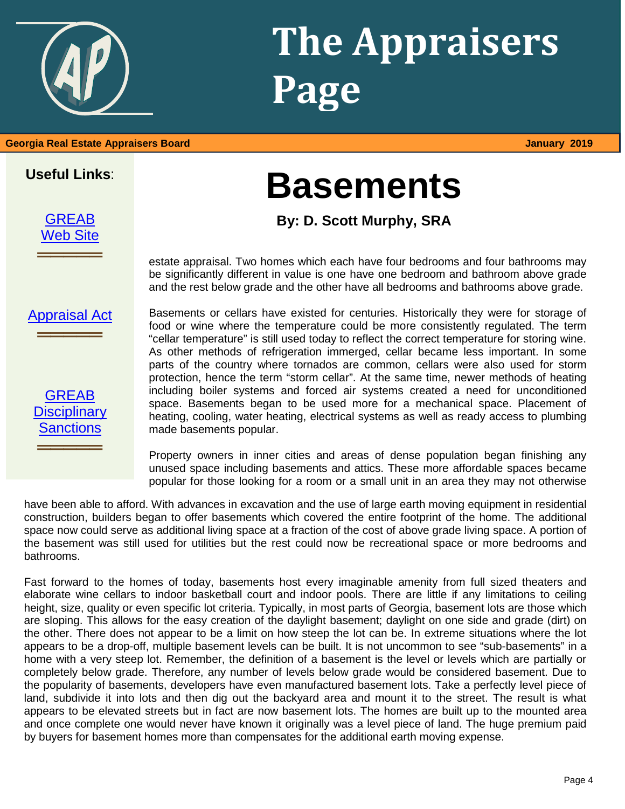# **The Appraisers Page**

## **Basements**

**By: D. Scott Murphy, SRA**

estate appraisal. Two homes which each have four bedrooms and four bathrooms may be significantly different in value is one have one bedroom and bathroom above grade and the rest below grade and the other have all bedrooms and bathrooms above grade.

[Appraisal Act](http://www.grec.state.ga.us/about/appraisersact.html)

**════**══════

**Useful Links**:

[GREAB](http://www.grec.state.ga.us/about/greab.html) [Web Site](http://www.grec.state.ga.us/about/greab.html)

**════**══════

| <b>GREAB</b>        |
|---------------------|
| <b>Disciplinary</b> |
| <b>Sanctions</b>    |

**════**══════

Basements or cellars have existed for centuries. Historically they were for storage of food or wine where the temperature could be more consistently regulated. The term "cellar temperature" is still used today to reflect the correct temperature for storing wine. As other methods of refrigeration immerged, cellar became less important. In some parts of the country where tornados are common, cellars were also used for storm protection, hence the term "storm cellar". At the same time, newer methods of heating including boiler systems and forced air systems created a need for unconditioned space. Basements began to be used more for a mechanical space. Placement of heating, cooling, water heating, electrical systems as well as ready access to plumbing made basements popular.

Property owners in inner cities and areas of dense population began finishing any unused space including basements and attics. These more affordable spaces became popular for those looking for a room or a small unit in an area they may not otherwise

have been able to afford. With advances in excavation and the use of large earth moving equipment in residential construction, builders began to offer basements which covered the entire footprint of the home. The additional space now could serve as additional living space at a fraction of the cost of above grade living space. A portion of the basement was still used for utilities but the rest could now be recreational space or more bedrooms and bathrooms.

Fast forward to the homes of today, basements host every imaginable amenity from full sized theaters and elaborate wine cellars to indoor basketball court and indoor pools. There are little if any limitations to ceiling height, size, quality or even specific lot criteria. Typically, in most parts of Georgia, basement lots are those which are sloping. This allows for the easy creation of the daylight basement; daylight on one side and grade (dirt) on the other. There does not appear to be a limit on how steep the lot can be. In extreme situations where the lot appears to be a drop-off, multiple basement levels can be built. It is not uncommon to see "sub-basements" in a home with a very steep lot. Remember, the definition of a basement is the level or levels which are partially or completely below grade. Therefore, any number of levels below grade would be considered basement. Due to the popularity of basements, developers have even manufactured basement lots. Take a perfectly level piece of land, subdivide it into lots and then dig out the backyard area and mount it to the street. The result is what appears to be elevated streets but in fact are now basement lots. The homes are built up to the mounted area and once complete one would never have known it originally was a level piece of land. The huge premium paid by buyers for basement homes more than compensates for the additional earth moving expense.